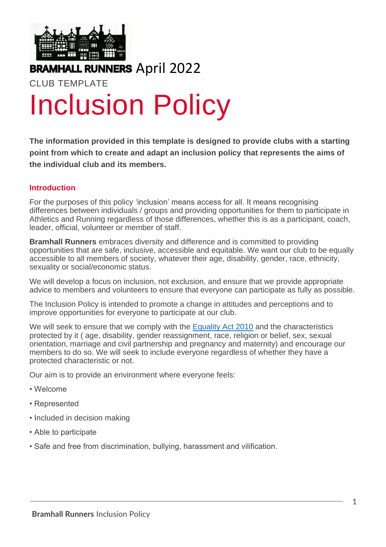

### **BRAMHALL RUNNERS** April 2022

# CLUB TEMPLATE Inclusion Policy

**The information provided in this template is designed to provide clubs with a starting point from which to create and adapt an inclusion policy that represents the aims of the individual club and its members.** 

#### **Introduction**

For the purposes of this policy 'inclusion' means access for all. It means recognising differences between individuals / groups and providing opportunities for them to participate in Athletics and Running regardless of those differences, whether this is as a participant, coach, leader, official, volunteer or member of staff.

**Bramhall Runners** embraces diversity and difference and is committed to providing opportunities that are safe, inclusive, accessible and equitable. We want our club to be equally accessible to all members of society, whatever their age, disability, gender, race, ethnicity, sexuality or social/economic status.

We will develop a focus on inclusion, not exclusion, and ensure that we provide appropriate advice to members and volunteers to ensure that everyone can participate as fully as possible.

The Inclusion Policy is intended to promote a change in attitudes and perceptions and to improve opportunities for everyone to participate at our club.

We will seek to ensure that we comply with the [Equality Act 2010](https://www.gov.uk/guidance/equality-act-2010-guidance) and the characteristics protected by it ( age, disability, gender reassignment, race, religion or belief, sex, sexual orientation, marriage and civil partnership and pregnancy and maternity) and encourage our members to do so. We will seek to include everyone regardless of whether they have a protected characteristic or not.

Our aim is to provide an environment where everyone feels:

- Welcome
- Represented
- Included in decision making
- Able to participate
- Safe and free from discrimination, bullying, harassment and vilification.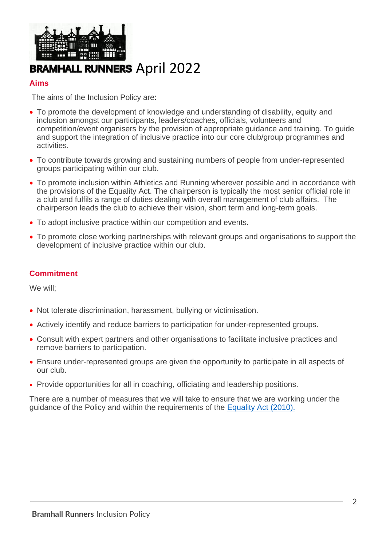

## **BRAMHALL RUNNERS** April 2022

#### **Aims**

The aims of the Inclusion Policy are:

- To promote the development of knowledge and understanding of disability, equity and inclusion amongst our participants, leaders/coaches, officials, volunteers and competition/event organisers by the provision of appropriate guidance and training. To guide and support the integration of inclusive practice into our core club/group programmes and activities.
- To contribute towards growing and sustaining numbers of people from under-represented groups participating within our club.
- To promote inclusion within Athletics and Running wherever possible and in accordance with the provisions of the Equality Act. The chairperson is typically the most senior official role in a club and fulfils a range of duties dealing with overall management of club affairs. The chairperson leads the club to achieve their vision, short term and long-term goals.
- To adopt inclusive practice within our competition and events.
- To promote close working partnerships with relevant groups and organisations to support the development of inclusive practice within our club.

#### **Commitment**

We will;

- Not tolerate discrimination, harassment, bullying or victimisation.
- Actively identify and reduce barriers to participation for under-represented groups.
- Consult with expert partners and other organisations to facilitate inclusive practices and remove barriers to participation.
- Ensure under-represented groups are given the opportunity to participate in all aspects of our club.
- Provide opportunities for all in coaching, officiating and leadership positions.

There are a number of measures that we will take to ensure that we are working under the guidance of the Policy and within the requirements of the [Equality Act \(2010\).](https://www.gov.uk/guidance/equality-act-2010-guidance)